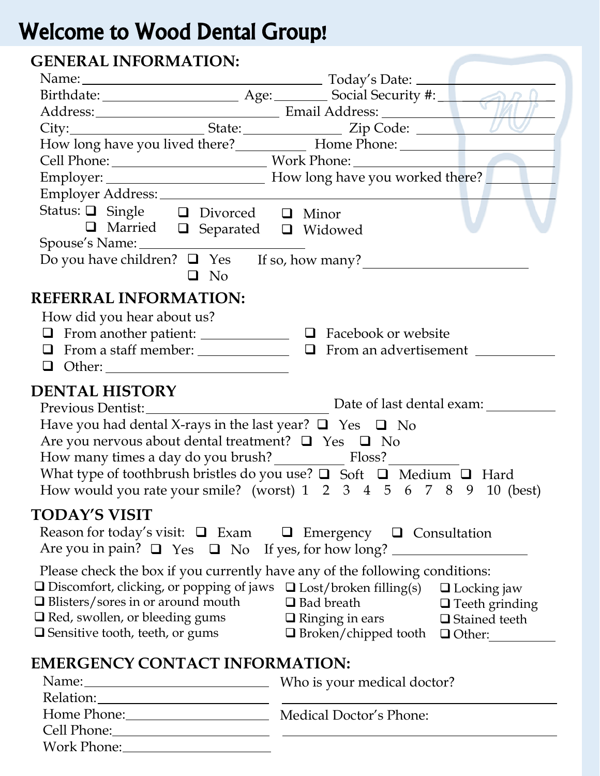## Welcome to Wood Dental Group!

## **GENERAL INFORMATION:**

| JEREKLE IR OKRILLIOR.                                                                                                                                                                                   |                                                                                                                                                                                                                                                                                                                                                                           |  |  |  |  |
|---------------------------------------------------------------------------------------------------------------------------------------------------------------------------------------------------------|---------------------------------------------------------------------------------------------------------------------------------------------------------------------------------------------------------------------------------------------------------------------------------------------------------------------------------------------------------------------------|--|--|--|--|
|                                                                                                                                                                                                         | Name: Today's Date: Today's Date: Today's Date:                                                                                                                                                                                                                                                                                                                           |  |  |  |  |
|                                                                                                                                                                                                         |                                                                                                                                                                                                                                                                                                                                                                           |  |  |  |  |
|                                                                                                                                                                                                         | Address: Email Address: Email Address: City: Email Address: City:                                                                                                                                                                                                                                                                                                         |  |  |  |  |
|                                                                                                                                                                                                         |                                                                                                                                                                                                                                                                                                                                                                           |  |  |  |  |
|                                                                                                                                                                                                         |                                                                                                                                                                                                                                                                                                                                                                           |  |  |  |  |
|                                                                                                                                                                                                         |                                                                                                                                                                                                                                                                                                                                                                           |  |  |  |  |
|                                                                                                                                                                                                         |                                                                                                                                                                                                                                                                                                                                                                           |  |  |  |  |
|                                                                                                                                                                                                         |                                                                                                                                                                                                                                                                                                                                                                           |  |  |  |  |
| Status: □ Single □ Divorced □ Minor                                                                                                                                                                     |                                                                                                                                                                                                                                                                                                                                                                           |  |  |  |  |
| □ Married □ Separated □ Widowed                                                                                                                                                                         |                                                                                                                                                                                                                                                                                                                                                                           |  |  |  |  |
|                                                                                                                                                                                                         |                                                                                                                                                                                                                                                                                                                                                                           |  |  |  |  |
| $\Box$ No                                                                                                                                                                                               | Do you have children? $\Box$ Yes If so, how many?                                                                                                                                                                                                                                                                                                                         |  |  |  |  |
| <b>REFERRAL INFORMATION:</b>                                                                                                                                                                            |                                                                                                                                                                                                                                                                                                                                                                           |  |  |  |  |
| How did you hear about us?                                                                                                                                                                              |                                                                                                                                                                                                                                                                                                                                                                           |  |  |  |  |
| $\Box$ From another patient: $\Box$ $\Box$ Facebook or website                                                                                                                                          |                                                                                                                                                                                                                                                                                                                                                                           |  |  |  |  |
|                                                                                                                                                                                                         | $\Box$ From a staff member: $\Box$ $\Box$ From an advertisement $\Box$                                                                                                                                                                                                                                                                                                    |  |  |  |  |
|                                                                                                                                                                                                         |                                                                                                                                                                                                                                                                                                                                                                           |  |  |  |  |
| <b>DENTAL HISTORY</b><br>Have you had dental X-rays in the last year? $\Box$ Yes $\Box$ No<br>Are you nervous about dental treatment? $\Box$ Yes $\Box$ No<br>How many times a day do you brush? Floss? | Date of last dental exam:<br>What type of toothbrush bristles do you use? $\Box$ Soft $\Box$ Medium $\Box$ Hard<br>How would you rate your smile? (worst) $1 \t2 \t3 \t4 \t5 \t6 \t7 \t8 \t9 \t10$ (best)                                                                                                                                                                 |  |  |  |  |
| <b>TODAY'S VISIT</b>                                                                                                                                                                                    |                                                                                                                                                                                                                                                                                                                                                                           |  |  |  |  |
|                                                                                                                                                                                                         | Reason for today's visit: $\Box$ Exam $\Box$ Emergency $\Box$ Consultation                                                                                                                                                                                                                                                                                                |  |  |  |  |
| $\Box$ Blisters/sores in or around mouth<br>$\Box$ Red, swollen, or bleeding gums                                                                                                                       | Please check the box if you currently have any of the following conditions:<br>$\square$ Discomfort, clicking, or popping of jaws $\square$ Lost/broken filling(s) $\square$ Locking jaw<br>$\Box$ Bad breath<br>$\Box$ Teeth grinding<br>$\Box$ Ringing in ears $\Box$ Stained teeth<br>$\Box$ Sensitive tooth, teeth, or gums $\Box$ Broken/chipped tooth $\Box$ Other: |  |  |  |  |
| <b>EMERGENCY CONTACT INFORMATION:</b>                                                                                                                                                                   |                                                                                                                                                                                                                                                                                                                                                                           |  |  |  |  |
|                                                                                                                                                                                                         |                                                                                                                                                                                                                                                                                                                                                                           |  |  |  |  |
|                                                                                                                                                                                                         |                                                                                                                                                                                                                                                                                                                                                                           |  |  |  |  |

| Relation:   |                         |
|-------------|-------------------------|
| Home Phone: | Medical Doctor's Phone: |
| Cell Phone: |                         |
| Work Phone: |                         |